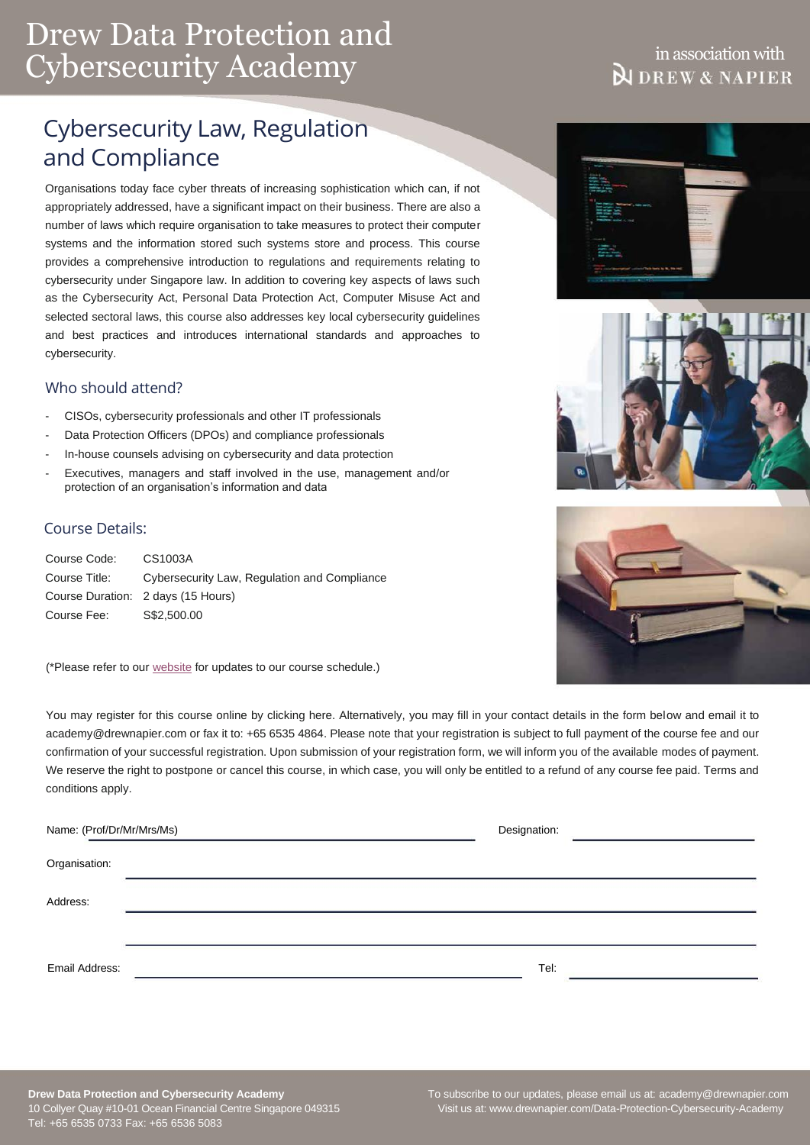# Drew Data Protection and Cybersecurity Academy

## in association with **NDREW & NAPIER**

# Cybersecurity Law, Regulation and Compliance

Organisations today face cyber threats of increasing sophistication which can, if not appropriately addressed, have a significant impact on their business. There are also a number of laws which require organisation to take measures to protect their computer systems and the information stored such systems store and process. This course provides a comprehensive introduction to regulations and requirements relating to cybersecurity under Singapore law. In addition to covering key aspects of laws such as the Cybersecurity Act, Personal Data Protection Act, Computer Misuse Act and selected sectoral laws, this course also addresses key local cybersecurity guidelines and best practices and introduces international standards and approaches to cybersecurity.

## Who should attend?

- CISOs, cybersecurity professionals and other IT professionals
- Data Protection Officers (DPOs) and compliance professionals
- In-house counsels advising on cybersecurity and data protection
- Executives, managers and staff involved in the use, management and/or protection of an organisation's information and data

## Course Details:

| Course Code:  | CS1003A                                      |
|---------------|----------------------------------------------|
| Course Title: | Cybersecurity Law, Regulation and Compliance |
|               | Course Duration: 2 days (15 Hours)           |
| Course Fee:   | S\$2,500.00                                  |

(\*Please refer to our [website](https://www.drewnapier.com/Data-Protection-Cybersecurity-Academy/Course-Schedule) for updates to our course schedule.)

You may register for this course online by clicking here. Alternatively, you may fill in your contact details in the form below and email it to [academy@drewnapier.com](mailto:academy@drewnapier.com) or fax it to: +65 6535 4864. Please note that your registration is subject to full payment of the course fee and our confirmation of your successful registration. Upon submission of your registration form, we will inform you of the available modes of payment. We reserve the right to postpone or cancel this course, in which case, you will only be entitled to a refund of any course fee paid. Terms and conditions apply.

| Name: (Prof/Dr/Mr/Mrs/Ms) |  | Designation: |  |
|---------------------------|--|--------------|--|
| Organisation:             |  |              |  |
| Address:                  |  |              |  |
|                           |  |              |  |
| Email Address:            |  | Tel:         |  |